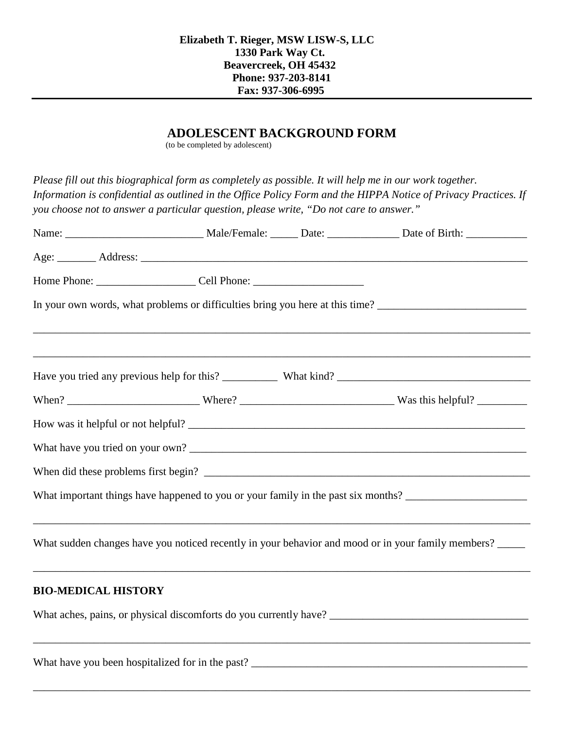## **ADOLESCENT BACKGROUND FORM**

(to be completed by adolescent)

*Please fill out this biographical form as completely as possible. It will help me in our work together. Information is confidential as outlined in the Office Policy Form and the HIPPA Notice of Privacy Practices. If you choose not to answer a particular question, please write, "Do not care to answer."*

|                            |                                                  | In your own words, what problems or difficulties bring you here at this time? ________________________________ |
|----------------------------|--------------------------------------------------|----------------------------------------------------------------------------------------------------------------|
|                            |                                                  |                                                                                                                |
|                            |                                                  |                                                                                                                |
|                            |                                                  |                                                                                                                |
|                            |                                                  |                                                                                                                |
|                            |                                                  |                                                                                                                |
|                            |                                                  | What important things have happened to you or your family in the past six months? ____________________________ |
|                            |                                                  | What sudden changes have you noticed recently in your behavior and mood or in your family members?             |
| <b>BIO-MEDICAL HISTORY</b> |                                                  |                                                                                                                |
|                            |                                                  |                                                                                                                |
|                            | What have you been hospitalized for in the past? |                                                                                                                |

\_\_\_\_\_\_\_\_\_\_\_\_\_\_\_\_\_\_\_\_\_\_\_\_\_\_\_\_\_\_\_\_\_\_\_\_\_\_\_\_\_\_\_\_\_\_\_\_\_\_\_\_\_\_\_\_\_\_\_\_\_\_\_\_\_\_\_\_\_\_\_\_\_\_\_\_\_\_\_\_\_\_\_\_\_\_\_\_\_\_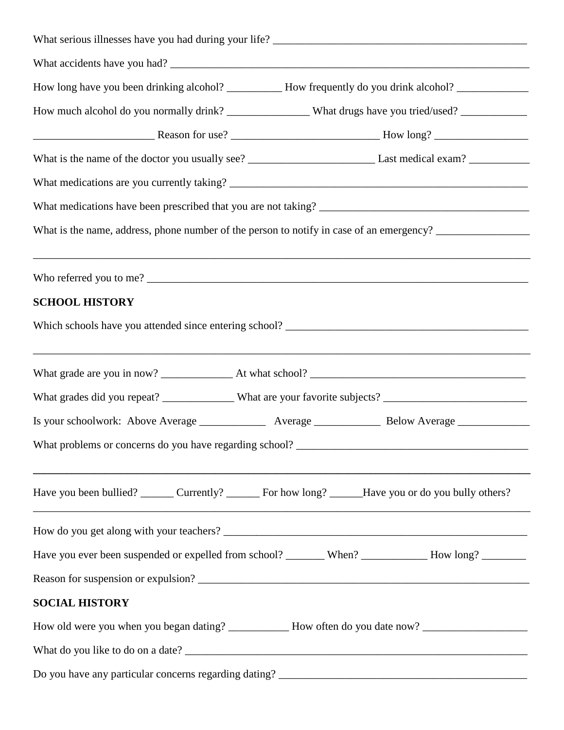|                                                                                   | How long have you been drinking alcohol? ____________ How frequently do you drink alcohol? _______________     |
|-----------------------------------------------------------------------------------|----------------------------------------------------------------------------------------------------------------|
|                                                                                   | How much alcohol do you normally drink? ___________________What drugs have you tried/used? _______________     |
|                                                                                   |                                                                                                                |
|                                                                                   |                                                                                                                |
|                                                                                   |                                                                                                                |
|                                                                                   |                                                                                                                |
|                                                                                   |                                                                                                                |
|                                                                                   | ,我们也不会有什么?""我们的人,我们也不会有什么?""我们的人,我们也不会有什么?""我们的人,我们也不会有什么?""我们的人,我们也不会有什么?""我们的人                               |
| <b>SCHOOL HISTORY</b>                                                             |                                                                                                                |
|                                                                                   |                                                                                                                |
|                                                                                   |                                                                                                                |
|                                                                                   |                                                                                                                |
|                                                                                   | Is your schoolwork: Above Average _______________ Average ________________ Below Average ___________           |
| What problems or concerns do you have regarding school? _________________________ |                                                                                                                |
|                                                                                   | Have you been bullied? Currently? ______ For how long? _____Have you or do you bully others?                   |
|                                                                                   |                                                                                                                |
|                                                                                   | Have you ever been suspended or expelled from school? _______ When? ___________ How long? ________             |
|                                                                                   |                                                                                                                |
| <b>SOCIAL HISTORY</b>                                                             |                                                                                                                |
|                                                                                   | How old were you when you began dating? ________________ How often do you date now? __________________________ |
|                                                                                   |                                                                                                                |
|                                                                                   | Do you have any particular concerns regarding dating? ___________________________                              |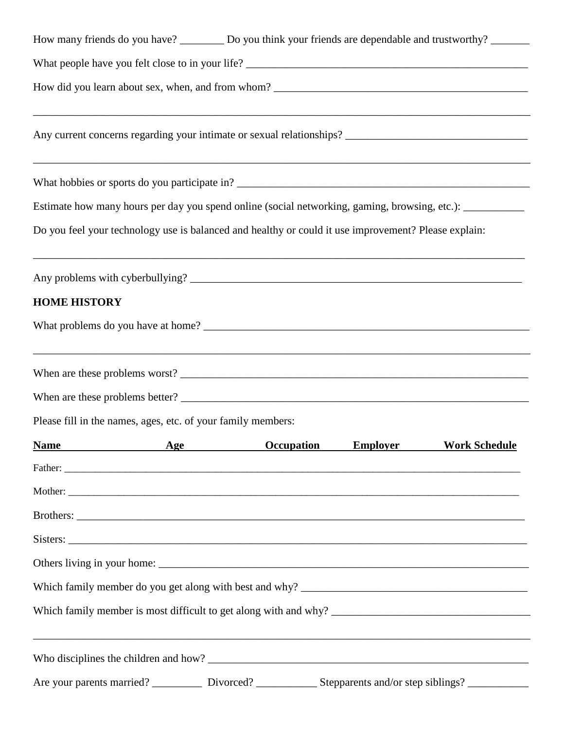| How many friends do you have? ___________ Do you think your friends are dependable and trustworthy? ________ |
|--------------------------------------------------------------------------------------------------------------|
|                                                                                                              |
|                                                                                                              |
| Any current concerns regarding your intimate or sexual relationships? ______________________________         |
|                                                                                                              |
| Estimate how many hours per day you spend online (social networking, gaming, browsing, etc.): ____________   |
| Do you feel your technology use is balanced and healthy or could it use improvement? Please explain:         |
|                                                                                                              |
| <b>HOME HISTORY</b>                                                                                          |
|                                                                                                              |
| ,我们也不会有什么。""我们的人,我们也不会有什么?""我们的人,我们也不会有什么?""我们的人,我们也不会有什么?""我们的人,我们也不会有什么?""我们的人                             |
|                                                                                                              |
| Please fill in the names, ages, etc. of your family members:                                                 |
| Age<br><b>Name</b><br><b>Occupation</b><br><b>Employer</b><br><b>Work Schedule</b>                           |
|                                                                                                              |
|                                                                                                              |
|                                                                                                              |
|                                                                                                              |
|                                                                                                              |
|                                                                                                              |
|                                                                                                              |
|                                                                                                              |
|                                                                                                              |